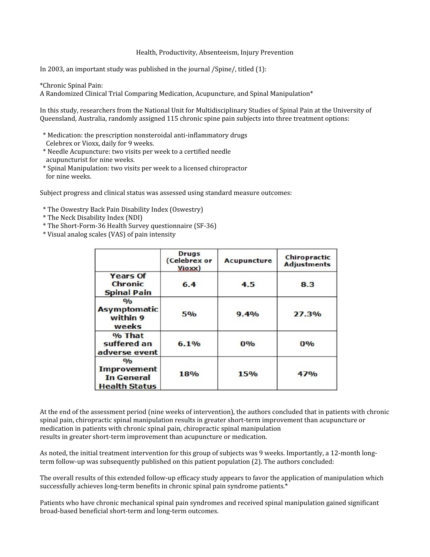## Health, Productivity, Absenteeism, Injury Prevention

In 2003, an important study was published in the journal /Spine/, titled (1):

\*Chronic Spinal Pain:

A Randomized Clinical Trial Comparing Medication, Acupuncture, and Spinal Manipulation\*

In this study, researchers from the National Unit for Multidisciplinary Studies of Spinal Pain at the University of Queensland, Australia, randomly assigned 115 chronic spine pain subjects into three treatment options:

- \* Medication: the prescription nonsteroidal anti-inflammatory drugs Celebrex or Vioxx, daily for 9 weeks.
- \* Needle Acupuncture: two visits per week to a certified needle acupuncturist for nine weeks.
- \* Spinal Manipulation: two visits per week to a licensed chiropractor for nine weeks.

Subject progress and clinical status was assessed using standard measure outcomes:

- \* The Oswestry Back Pain Disability Index (Oswestry)
- \* The Neck Disability Index (NDI)
- \* The Short-Form-36 Health Survey questionnaire (SF-36)
- \* Visual analog scales (VAS) of pain intensity

|                                                                                            | <b>Drugs</b><br>(Celebrex or<br>Vioxx) | <b>Acupuncture</b> | Chiropractic<br><b>Adjustments</b> |
|--------------------------------------------------------------------------------------------|----------------------------------------|--------------------|------------------------------------|
| <b>Years Of</b><br><b>Chronic</b><br><b>Spinal Pain</b>                                    | 6.4                                    | 4.5                | 8.3                                |
| $\mathbf{O}/\mathbf{O}$<br><b>Asymptomatic</b><br>within 9<br>weeks                        | 5%                                     | 9.4%               | 27.3%                              |
| % That<br>suffered an<br>adverse event                                                     | 6.1%                                   | 0%                 | 0%                                 |
| $\mathbf{O}/\mathbf{O}$<br><b>Improvement</b><br><b>In General</b><br><b>Health Status</b> | 18%                                    | 15%                | 47%                                |

At the end of the assessment period (nine weeks of intervention), the authors concluded that in patients with chronic spinal pain, chiropractic spinal manipulation results in greater short-term improvement than acupuncture or medication in patients with chronic spinal pain, chiropractic spinal manipulation results in greater short-term improvement than acupuncture or medication.

As noted, the initial treatment intervention for this group of subjects was 9 weeks. Importantly, a 12-month longterm follow-up was subsequently published on this patient population (2). The authors concluded:

The overall results of this extended follow-up efficacy study appears to favor the application of manipulation which successfully achieves long-term benefits in chronic spinal pain syndrome patients.\*

Patients who have chronic mechanical spinal pain syndromes and received spinal manipulation gained significant broad-based beneficial short-term and long-term outcomes.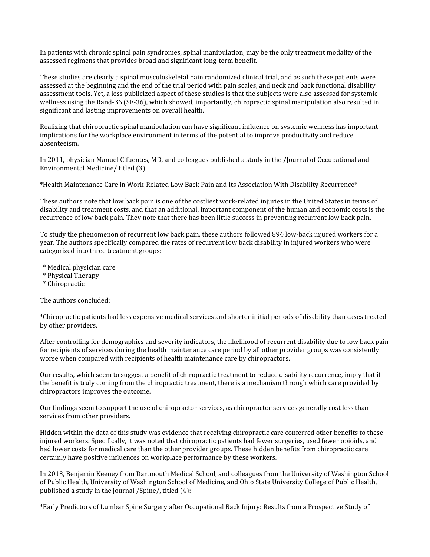In patients with chronic spinal pain syndromes, spinal manipulation, may be the only treatment modality of the assessed regimens that provides broad and significant long-term benefit.

These studies are clearly a spinal musculoskeletal pain randomized clinical trial, and as such these patients were assessed at the beginning and the end of the trial period with pain scales, and neck and back functional disability assessment tools. Yet, a less publicized aspect of these studies is that the subjects were also assessed for systemic wellness using the Rand-36 (SF-36), which showed, importantly, chiropractic spinal manipulation also resulted in significant and lasting improvements on overall health.

Realizing that chiropractic spinal manipulation can have significant influence on systemic wellness has important implications for the workplace environment in terms of the potential to improve productivity and reduce absenteeism.

In 2011, physician Manuel Cifuentes, MD, and colleagues published a study in the /Journal of Occupational and Environmental Medicine/ titled (3):

\*Health Maintenance Care in Work-Related Low Back Pain and Its Association With Disability Recurrence\*

These authors note that low back pain is one of the costliest work-related injuries in the United States in terms of disability and treatment costs, and that an additional, important component of the human and economic costs is the recurrence of low back pain. They note that there has been little success in preventing recurrent low back pain.

To study the phenomenon of recurrent low back pain, these authors followed 894 low-back injured workers for a year. The authors specifically compared the rates of recurrent low back disability in injured workers who were categorized into three treatment groups:

- \* Medical physician care
- \* Physical Therapy
- \* Chiropractic

The authors concluded:

\*Chiropractic patients had less expensive medical services and shorter initial periods of disability than cases treated by other providers.

After controlling for demographics and severity indicators, the likelihood of recurrent disability due to low back pain for recipients of services during the health maintenance care period by all other provider groups was consistently worse when compared with recipients of health maintenance care by chiropractors.

Our results, which seem to suggest a benefit of chiropractic treatment to reduce disability recurrence, imply that if the benefit is truly coming from the chiropractic treatment, there is a mechanism through which care provided by chiropractors improves the outcome.

Our findings seem to support the use of chiropractor services, as chiropractor services generally cost less than services from other providers.

Hidden within the data of this study was evidence that receiving chiropractic care conferred other benefits to these injured workers. Specifically, it was noted that chiropractic patients had fewer surgeries, used fewer opioids, and had lower costs for medical care than the other provider groups. These hidden benefits from chiropractic care certainly have positive influences on workplace performance by these workers.

In 2013, Benjamin Keeney from Dartmouth Medical School, and colleagues from the University of Washington School of Public Health, University of Washington School of Medicine, and Ohio State University College of Public Health, published a study in the journal /Spine/, titled (4):

\*Early Predictors of Lumbar Spine Surgery after Occupational Back Injury: Results from a Prospective Study of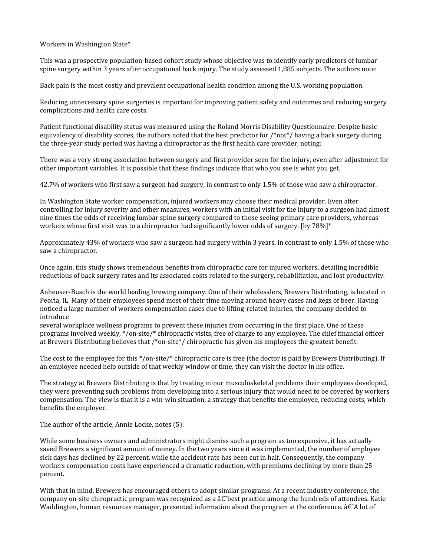Workers in Washington State\*

This was a prospective population-based cohort study whose objective was to identify early predictors of lumbar spine surgery within 3 years after occupational back injury. The study assessed 1,885 subjects. The authors note:

Back pain is the most costly and prevalent occupational health condition among the U.S. working population.

Reducing unnecessary spine surgeries is important for improving patient safety and outcomes and reducing surgery complications and health care costs.

Patient functional disability status was measured using the Roland Morris Disability Questionnaire. Despite basic equivalency of disability scores, the authors noted that the best predictor for  $\gamma$ not<sup>\*</sup>/ having a back surgery during the three-year study period was having a chiropractor as the first health care provider, noting:

There was a very strong association between surgery and first provider seen for the injury, even after adjustment for other important variables. It is possible that these findings indicate that who you see is what you get.

42.7% of workers who first saw a surgeon had surgery, in contrast to only 1.5% of those who saw a chiropractor.

In Washington State worker compensation, injured workers may choose their medical provider. Even after controlling for injury severity and other measures, workers with an initial visit for the injury to a surgeon had almost nine times the odds of receiving lumbar spine surgery compared to those seeing primary care providers, whereas workers whose first visit was to a chiropractor had significantly lower odds of surgery. [by 78%]\*

Approximately 43% of workers who saw a surgeon had surgery within 3 years, in contrast to only 1.5% of those who saw a chiropractor.

Once again, this study shows tremendous benefits from chiropractic care for injured workers, detailing incredible reductions of back surgery rates and its associated costs related to the surgery, rehabilitation, and lost productivity.

Anheuser-Busch is the world leading brewing company. One of their wholesalers, Brewers Distributing, is located in Peoria, IL. Many of their employees spend most of their time moving around heavy cases and kegs of beer. Having noticed a large number of workers compensation cases due to lifting-related injuries, the company decided to introduce

several workplace wellness programs to prevent these injuries from occurring in the first place. One of these programs involved weekly, \*/on-site/\* chiropractic visits, free of charge to any employee. The chief financial officer at Brewers Distributing believes that /\*on-site\*/ chiropractic has given his employees the greatest benefit.

The cost to the employee for this \*/on-site/\* chiropractic care is free (the doctor is paid by Brewers Distributing). If an employee needed help outside of that weekly window of time, they can visit the doctor in his office.

The strategy at Brewers Distributing is that by treating minor musculoskeletal problems their employees developed, they were preventing such problems from developing into a serious injury that would need to be covered by workers compensation. The view is that it is a win-win situation, a strategy that benefits the employee, reducing costs, which benefits the employer.

The author of the article, Annie Locke, notes (5):

While some business owners and administrators might dismiss such a program as too expensive, it has actually saved Brewers a significant amount of money. In the two years since it was implemented, the number of employee sick days has declined by 22 percent, while the accident rate has been cut in half. Consequently, the company workers compensation costs have experienced a dramatic reduction, with premiums declining by more than 25 percent.

With that in mind, Brewers has encouraged others to adopt similar programs. At a recent industry conference, the company on-site chiropractic program was recognized as a  $\hat{\alpha} \in \hat{\beta}$  best practice among the hundreds of attendees. Katie Waddington, human resources manager, presented information about the program at the conference.  $\hat{a}\epsilon \tilde{\epsilon}$  a lot of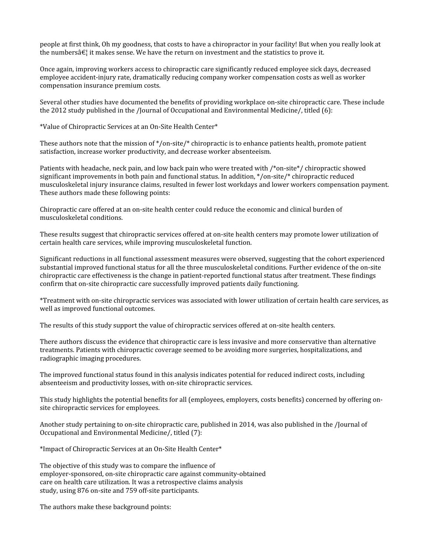people at first think, Oh my goodness, that costs to have a chiropractor in your facility! But when you really look at the numbers  $\hat{\epsilon}$ ! it makes sense. We have the return on investment and the statistics to prove it.

Once again, improving workers access to chiropractic care significantly reduced employee sick days, decreased employee accident-injury rate, dramatically reducing company worker compensation costs as well as worker compensation insurance premium costs.

Several other studies have documented the benefits of providing workplace on-site chiropractic care. These include the 2012 study published in the /Journal of Occupational and Environmental Medicine/, titled (6):

\*Value of Chiropractic Services at an On-Site Health Center\*

These authors note that the mission of \*/on-site/\* chiropractic is to enhance patients health, promote patient satisfaction, increase worker productivity, and decrease worker absenteeism.

Patients with headache, neck pain, and low back pain who were treated with /\*on-site\*/ chiropractic showed significant improvements in both pain and functional status. In addition, \*/on-site/\* chiropractic reduced musculoskeletal injury insurance claims, resulted in fewer lost workdays and lower workers compensation payment. These authors made these following points:

Chiropractic care offered at an on-site health center could reduce the economic and clinical burden of musculoskeletal conditions.

These results suggest that chiropractic services offered at on-site health centers may promote lower utilization of certain health care services, while improving musculoskeletal function.

Significant reductions in all functional assessment measures were observed, suggesting that the cohort experienced substantial improved functional status for all the three musculoskeletal conditions. Further evidence of the on-site chiropractic care effectiveness is the change in patient-reported functional status after treatment. These findings confirm that on-site chiropractic care successfully improved patients daily functioning.

\*Treatment with on-site chiropractic services was associated with lower utilization of certain health care services, as well as improved functional outcomes.

The results of this study support the value of chiropractic services offered at on-site health centers.

There authors discuss the evidence that chiropractic care is less invasive and more conservative than alternative treatments. Patients with chiropractic coverage seemed to be avoiding more surgeries, hospitalizations, and radiographic imaging procedures.

The improved functional status found in this analysis indicates potential for reduced indirect costs, including absenteeism and productivity losses, with on-site chiropractic services.

This study highlights the potential benefits for all (employees, employers, costs benefits) concerned by offering onsite chiropractic services for employees.

Another study pertaining to on-site chiropractic care, published in 2014, was also published in the /Journal of Occupational and Environmental Medicine/, titled (7):

\*Impact of Chiropractic Services at an On-Site Health Center\*

The objective of this study was to compare the influence of employer-sponsored, on-site chiropractic care against community-obtained care on health care utilization. It was a retrospective claims analysis study, using 876 on-site and 759 off-site participants.

The authors make these background points: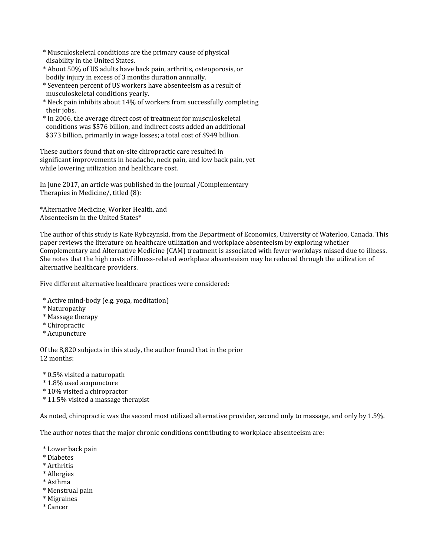- \* Musculoskeletal conditions are the primary cause of physical disability in the United States.
- \* About 50% of US adults have back pain, arthritis, osteoporosis, or bodily injury in excess of 3 months duration annually.
- \* Seventeen percent of US workers have absenteeism as a result of musculoskeletal conditions yearly.
- \* Neck pain inhibits about 14% of workers from successfully completing their jobs.
- \* In 2006, the average direct cost of treatment for musculoskeletal conditions was \$576 billion, and indirect costs added an additional \$373 billion, primarily in wage losses; a total cost of \$949 billion.

These authors found that on-site chiropractic care resulted in significant improvements in headache, neck pain, and low back pain, yet while lowering utilization and healthcare cost.

In June 2017, an article was published in the journal /Complementary Therapies in Medicine/, titled (8):

\*Alternative Medicine, Worker Health, and Absenteeism in the United States\*

The author of this study is Kate Rybczynski, from the Department of Economics, University of Waterloo, Canada. This paper reviews the literature on healthcare utilization and workplace absenteeism by exploring whether Complementary and Alternative Medicine (CAM) treatment is associated with fewer workdays missed due to illness. She notes that the high costs of illness-related workplace absenteeism may be reduced through the utilization of alternative healthcare providers.

Five different alternative healthcare practices were considered:

- \* Active mind-body (e.g. yoga, meditation)
- \* Naturopathy
- \* Massage therapy
- \* Chiropractic
- \* Acupuncture

Of the 8,820 subjects in this study, the author found that in the prior 12 months:

- \* 0.5% visited a naturopath
- \* 1.8% used acupuncture
- \* 10% visited a chiropractor
- \* 11.5% visited a massage therapist

As noted, chiropractic was the second most utilized alternative provider, second only to massage, and only by 1.5%.

The author notes that the major chronic conditions contributing to workplace absenteeism are:

- \* Lower back pain
- \* Diabetes
- \* Arthritis
- \* Allergies
- \* Asthma
- \* Menstrual pain
- \* Migraines
- \* Cancer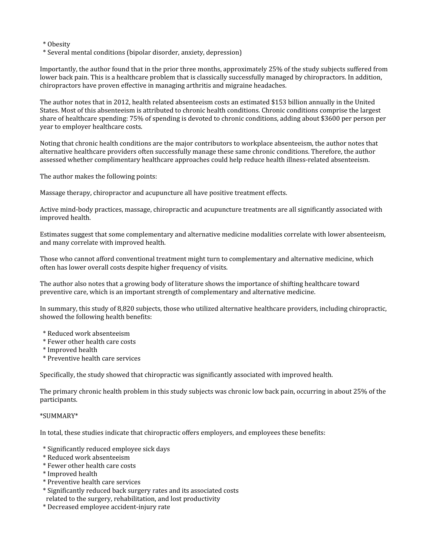\* Obesity

\* Several mental conditions (bipolar disorder, anxiety, depression)

Importantly, the author found that in the prior three months, approximately 25% of the study subjects suffered from lower back pain. This is a healthcare problem that is classically successfully managed by chiropractors. In addition, chiropractors have proven effective in managing arthritis and migraine headaches.

The author notes that in 2012, health related absenteeism costs an estimated \$153 billion annually in the United States. Most of this absenteeism is attributed to chronic health conditions. Chronic conditions comprise the largest share of healthcare spending: 75% of spending is devoted to chronic conditions, adding about \$3600 per person per year to employer healthcare costs.

Noting that chronic health conditions are the major contributors to workplace absenteeism, the author notes that alternative healthcare providers often successfully manage these same chronic conditions. Therefore, the author assessed whether complimentary healthcare approaches could help reduce health illness-related absenteeism.

The author makes the following points:

Massage therapy, chiropractor and acupuncture all have positive treatment effects.

Active mind-body practices, massage, chiropractic and acupuncture treatments are all significantly associated with improved health.

Estimates suggest that some complementary and alternative medicine modalities correlate with lower absenteeism, and many correlate with improved health.

Those who cannot afford conventional treatment might turn to complementary and alternative medicine, which often has lower overall costs despite higher frequency of visits.

The author also notes that a growing body of literature shows the importance of shifting healthcare toward preventive care, which is an important strength of complementary and alternative medicine.

In summary, this study of 8,820 subjects, those who utilized alternative healthcare providers, including chiropractic, showed the following health benefits:

- \* Reduced work absenteeism
- \* Fewer other health care costs
- \* Improved health
- \* Preventive health care services

Specifically, the study showed that chiropractic was significantly associated with improved health.

The primary chronic health problem in this study subjects was chronic low back pain, occurring in about 25% of the participants.

## \*SUMMARY\*

In total, these studies indicate that chiropractic offers employers, and employees these benefits:

- \* Significantly reduced employee sick days
- \* Reduced work absenteeism
- \* Fewer other health care costs
- \* Improved health
- \* Preventive health care services
- \* Significantly reduced back surgery rates and its associated costs
- related to the surgery, rehabilitation, and lost productivity
- \* Decreased employee accident-injury rate